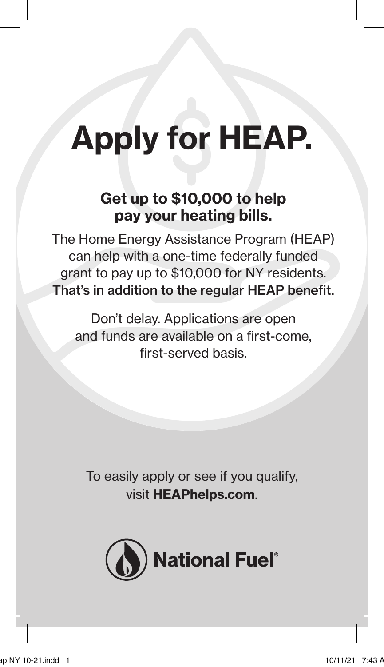# Apply for HEAP.

### Get up to \$10,000 to help pay your heating bills.

The Home Energy Assistance Program (HEAP) can help with a one-time federally funded grant to pay up to \$10,000 for NY residents. That's in addition to the regular HEAP benefit.

Don't delay. Applications are open and funds are available on a first-come, first-served basis.

To easily apply or see if you qualify, visit HEAPhelps.com.